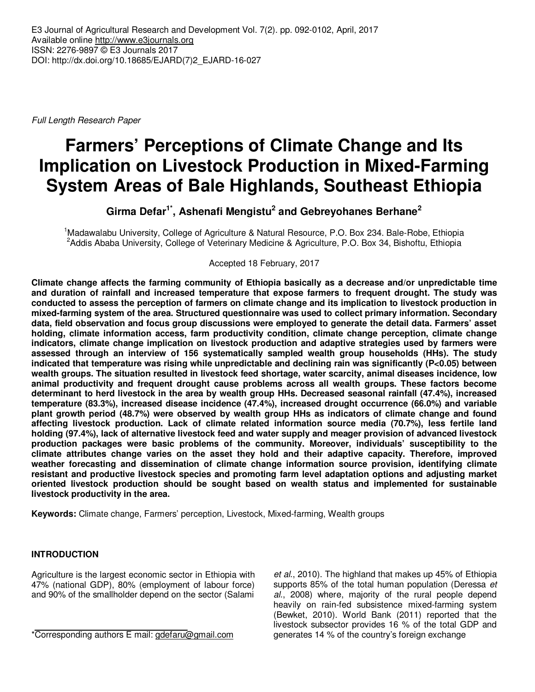Full Length Research Paper

# **Farmers' Perceptions of Climate Change and Its Implication on Livestock Production in Mixed-Farming System Areas of Bale Highlands, Southeast Ethiopia**

**Girma Defar1\*, Ashenafi Mengistu<sup>2</sup> and Gebreyohanes Berhane<sup>2</sup>**

<sup>1</sup>Madawalabu University, College of Agriculture & Natural Resource, P.O. Box 234. Bale-Robe, Ethiopia <sup>2</sup>Addis Ababa University, College of Veterinary Medicine & Agriculture, P.O. Box 34, Bishoftu, Ethiopia

Accepted 18 February, 2017

**Climate change affects the farming community of Ethiopia basically as a decrease and/or unpredictable time and duration of rainfall and increased temperature that expose farmers to frequent drought. The study was conducted to assess the perception of farmers on climate change and its implication to livestock production in mixed-farming system of the area. Structured questionnaire was used to collect primary information. Secondary data, field observation and focus group discussions were employed to generate the detail data. Farmers' asset holding, climate information access, farm productivity condition, climate change perception, climate change indicators, climate change implication on livestock production and adaptive strategies used by farmers were assessed through an interview of 156 systematically sampled wealth group households (HHs). The study indicated that temperature was rising while unpredictable and declining rain was significantly (P<0.05) between wealth groups. The situation resulted in livestock feed shortage, water scarcity, animal diseases incidence, low animal productivity and frequent drought cause problems across all wealth groups. These factors become determinant to herd livestock in the area by wealth group HHs. Decreased seasonal rainfall (47.4%), increased temperature (83.3%), increased disease incidence (47.4%), increased drought occurrence (66.0%) and variable plant growth period (48.7%) were observed by wealth group HHs as indicators of climate change and found affecting livestock production. Lack of climate related information source media (70.7%), less fertile land holding (97.4%), lack of alternative livestock feed and water supply and meager provision of advanced livestock production packages were basic problems of the community. Moreover, individuals' susceptibility to the climate attributes change varies on the asset they hold and their adaptive capacity. Therefore, improved weather forecasting and dissemination of climate change information source provision, identifying climate resistant and productive livestock species and promoting farm level adaptation options and adjusting market oriented livestock production should be sought based on wealth status and implemented for sustainable livestock productivity in the area.** 

**Keywords:** Climate change, Farmers' perception, Livestock, Mixed-farming, Wealth groups

## **INTRODUCTION**

Agriculture is the largest economic sector in Ethiopia with 47% (national GDP), 80% (employment of labour force) and 90% of the smallholder depend on the sector (Salami

\*Corresponding authors E mail: gdefaru@gmail.com

et al., 2010). The highland that makes up 45% of Ethiopia supports 85% of the total human population (Deressa et al., 2008) where, majority of the rural people depend heavily on rain-fed subsistence mixed-farming system (Bewket, 2010). World Bank (2011) reported that the livestock subsector provides 16 % of the total GDP and generates 14 % of the country's foreign exchange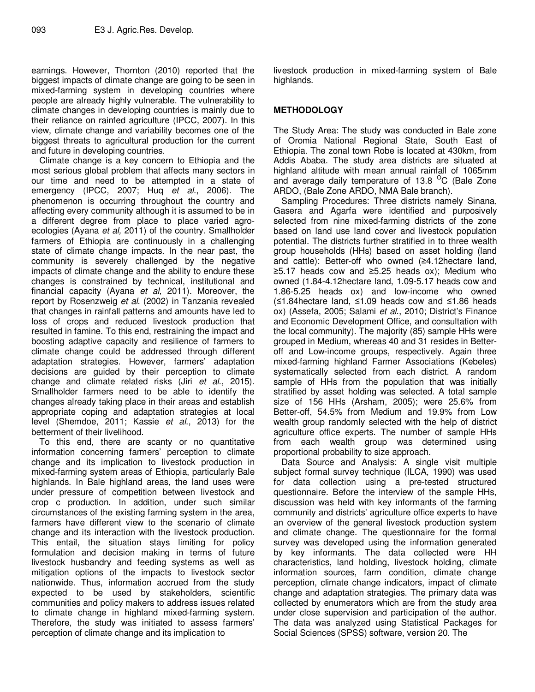earnings. However, Thornton (2010) reported that the biggest impacts of climate change are going to be seen in mixed-farming system in developing countries where people are already highly vulnerable. The vulnerability to climate changes in developing countries is mainly due to their reliance on rainfed agriculture (IPCC, 2007). In this view, climate change and variability becomes one of the biggest threats to agricultural production for the current and future in developing countries.

Climate change is a key concern to Ethiopia and the most serious global problem that affects many sectors in our time and need to be attempted in a state of emergency (IPCC, 2007; Huq et al., 2006). The phenomenon is occurring throughout the country and affecting every community although it is assumed to be in a different degree from place to place varied agroecologies (Ayana et al, 2011) of the country. Smallholder farmers of Ethiopia are continuously in a challenging state of climate change impacts. In the near past, the community is severely challenged by the negative impacts of climate change and the ability to endure these changes is constrained by technical, institutional and financial capacity (Ayana et al, 2011). Moreover, the report by Rosenzweig et al. (2002) in Tanzania revealed that changes in rainfall patterns and amounts have led to loss of crops and reduced livestock production that resulted in famine. To this end, restraining the impact and boosting adaptive capacity and resilience of farmers to climate change could be addressed through different adaptation strategies. However, farmers' adaptation decisions are guided by their perception to climate change and climate related risks (Jiri et al., 2015). Smallholder farmers need to be able to identify the changes already taking place in their areas and establish appropriate coping and adaptation strategies at local level (Shemdoe, 2011; Kassie et al., 2013) for the betterment of their livelihood.

To this end, there are scanty or no quantitative information concerning farmers' perception to climate change and its implication to livestock production in mixed-farming system areas of Ethiopia, particularly Bale highlands. In Bale highland areas, the land uses were under pressure of competition between livestock and crop c production. In addition, under such similar circumstances of the existing farming system in the area, farmers have different view to the scenario of climate change and its interaction with the livestock production. This entail, the situation stays limiting for policy formulation and decision making in terms of future livestock husbandry and feeding systems as well as mitigation options of the impacts to livestock sector nationwide. Thus, information accrued from the study expected to be used by stakeholders, scientific communities and policy makers to address issues related to climate change in highland mixed-farming system. Therefore, the study was initiated to assess farmers' perception of climate change and its implication to

livestock production in mixed-farming system of Bale highlands.

## **METHODOLOGY**

The Study Area: The study was conducted in Bale zone of Oromia National Regional State, South East of Ethiopia. The zonal town Robe is located at 430km, from Addis Ababa. The study area districts are situated at highland altitude with mean annual rainfall of 1065mm and average daily temperature of 13.8  $\mathrm{^{\circ}C}$  (Bale Zone ARDO, (Bale Zone ARDO, NMA Bale branch).

Sampling Procedures: Three districts namely Sinana, Gasera and Agarfa were identified and purposively selected from nine mixed-farming districts of the zone based on land use land cover and livestock population potential. The districts further stratified in to three wealth group households (HHs) based on asset holding (land and cattle): Better-off who owned (≥4.12hectare land, ≥5.17 heads cow and ≥5.25 heads ox); Medium who owned (1.84-4.12hectare land, 1.09-5.17 heads cow and 1.86-5.25 heads ox) and low-income who owned (≤1.84hectare land, ≤1.09 heads cow and ≤1.86 heads ox) (Assefa, 2005; Salami et al., 2010; District's Finance and Economic Development Office, and consultation with the local community). The majority (85) sample HHs were grouped in Medium, whereas 40 and 31 resides in Betteroff and Low-income groups, respectively. Again three mixed-farming highland Farmer Associations (Kebeles) systematically selected from each district. A random sample of HHs from the population that was initially stratified by asset holding was selected. A total sample size of 156 HHs (Arsham, 2005); were 25.6% from Better-off, 54.5% from Medium and 19.9% from Low wealth group randomly selected with the help of district agriculture office experts. The number of sample HHs from each wealth group was determined using proportional probability to size approach.

Data Source and Analysis: A single visit multiple subject formal survey technique (ILCA, 1990) was used for data collection using a pre-tested structured questionnaire. Before the interview of the sample HHs, discussion was held with key informants of the farming community and districts' agriculture office experts to have an overview of the general livestock production system and climate change. The questionnaire for the formal survey was developed using the information generated by key informants. The data collected were HH characteristics, land holding, livestock holding, climate information sources, farm condition, climate change perception, climate change indicators, impact of climate change and adaptation strategies. The primary data was collected by enumerators which are from the study area under close supervision and participation of the author. The data was analyzed using Statistical Packages for Social Sciences (SPSS) software, version 20. The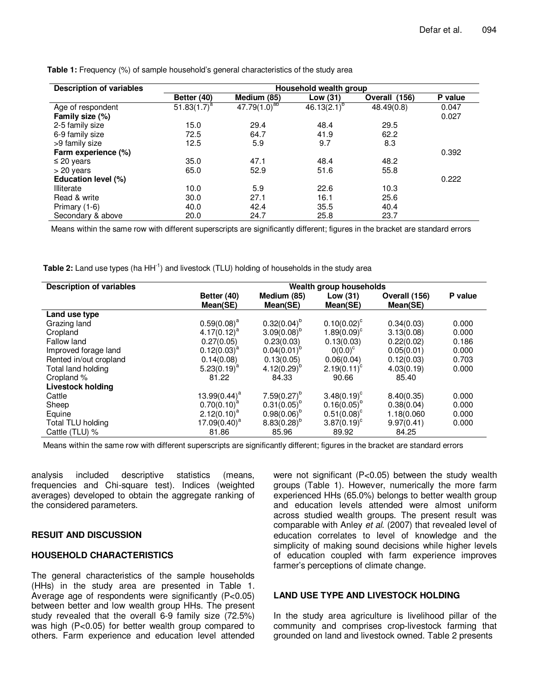| <b>Description of variables</b> | Household wealth group |                   |                  |                  |         |  |  |
|---------------------------------|------------------------|-------------------|------------------|------------------|---------|--|--|
|                                 | Better (40)            | Medium (85)       | Low (31)         | (156)<br>Overall | P value |  |  |
| Age of respondent               | $51.83(1.7)^{a}$       | $47.79(1.0)^{ab}$ | $46.13(2.1)^{6}$ | 48.49(0.8)       | 0.047   |  |  |
| Family size (%)                 |                        |                   |                  |                  | 0.027   |  |  |
| 2-5 family size                 | 15.0                   | 29.4              | 48.4             | 29.5             |         |  |  |
| 6-9 family size                 | 72.5                   | 64.7              | 41.9             | 62.2             |         |  |  |
| >9 family size                  | 12.5                   | 5.9               | 9.7              | 8.3              |         |  |  |
| Farm experience (%)             |                        |                   |                  |                  | 0.392   |  |  |
| $\leq$ 20 years                 | 35.0                   | 47.1              | 48.4             | 48.2             |         |  |  |
| $> 20$ years                    | 65.0                   | 52.9              | 51.6             | 55.8             |         |  |  |
| Education level (%)             |                        |                   |                  |                  | 0.222   |  |  |
| Illiterate                      | 10.0                   | 5.9               | 22.6             | 10.3             |         |  |  |
| Read & write                    | 30.0                   | 27.1              | 16.1             | 25.6             |         |  |  |
| Primary (1-6)                   | 40.0                   | 42.4              | 35.5             | 40.4             |         |  |  |
| Secondary & above               | 20.0                   | 24.7              | 25.8             | 23.7             |         |  |  |

**Table 1:** Frequency (%) of sample household's general characteristics of the study area

Means within the same row with different superscripts are significantly different; figures in the bracket are standard errors

Table 2: Land use types (ha HH<sup>-1</sup>) and livestock (TLU) holding of households in the study area

| <b>Description of variables</b> | Wealth group households |                  |                           |               |         |  |  |
|---------------------------------|-------------------------|------------------|---------------------------|---------------|---------|--|--|
|                                 | Better (40)             | Medium (85)      | Low $(31)$                | Overall (156) | P value |  |  |
|                                 | Mean(SE)                | Mean(SE)         | Mean(SE)                  | Mean(SE)      |         |  |  |
| Land use type                   |                         |                  |                           |               |         |  |  |
| Grazing land                    | $0.59(0.08)^a$          | $0.32(0.04)^{6}$ | $0.10(0.02)^c$            | 0.34(0.03)    | 0.000   |  |  |
| Cropland                        | $4.17(0.12)^a$          | $3.09(0.08)^{b}$ | $1.89(0.09)^c$            | 3.13(0.08)    | 0.000   |  |  |
| Fallow land                     | 0.27(0.05)              | 0.23(0.03)       | 0.13(0.03)                | 0.22(0.02)    | 0.186   |  |  |
| Improved forage land            | $0.12(0.03)^{a}$        | $0.04(0.01)^{b}$ | $0(0.0)^{c}$              | 0.05(0.01)    | 0.000   |  |  |
| Rented in/out cropland          | 0.14(0.08)              | 0.13(0.05)       | 0.06(0.04)                | 0.12(0.03)    | 0.703   |  |  |
| Total land holding              | $5.23(0.19)^a$          | $4.12(0.29)^{b}$ | $2.19(0.11)^c$            | 4.03(0.19)    | 0.000   |  |  |
| Cropland %                      | 81.22                   | 84.33            | 90.66                     | 85.40         |         |  |  |
| <b>Livestock holding</b>        |                         |                  |                           |               |         |  |  |
| Cattle                          | 13.99 $(0.44)^a$        | $7.59(0.27)^{b}$ | $3.48(0.19)^c$            | 8.40(0.35)    | 0.000   |  |  |
| Sheep                           | $0.70(0.10)^{a}$        | $0.31(0.05)^{b}$ | $0.16(0.05)^{b}$          | 0.38(0.04)    | 0.000   |  |  |
| Equine                          | $2.12(0.10)^{a}$        | $0.98(0.06)^{b}$ | $0.51(0.08)^c$            | 1.18(0.060    | 0.000   |  |  |
| Total TLU holding               | $17.09(0.40)^a$         | $8.83(0.28)^{b}$ | $3.87(0.19)$ <sup>c</sup> | 9.97(0.41)    | 0.000   |  |  |
| Cattle (TLU) %                  | 81.86                   | 85.96            | 89.92                     | 84.25         |         |  |  |

Means within the same row with different superscripts are significantly different; figures in the bracket are standard errors

analysis included descriptive statistics (means, frequencies and Chi-square test). Indices (weighted averages) developed to obtain the aggregate ranking of the considered parameters.

#### **RESUIT AND DISCUSSION**

### **HOUSEHOLD CHARACTERISTICS**

The general characteristics of the sample households (HHs) in the study area are presented in Table 1. Average age of respondents were significantly (P<0.05) between better and low wealth group HHs. The present study revealed that the overall 6-9 family size (72.5%) was high (P<0.05) for better wealth group compared to others. Farm experience and education level attended

were not significant (P<0.05) between the study wealth groups (Table 1). However, numerically the more farm experienced HHs (65.0%) belongs to better wealth group and education levels attended were almost uniform across studied wealth groups. The present result was comparable with Anley et al. (2007) that revealed level of education correlates to level of knowledge and the simplicity of making sound decisions while higher levels of education coupled with farm experience improves farmer's perceptions of climate change.

## **LAND USE TYPE AND LIVESTOCK HOLDING**

In the study area agriculture is livelihood pillar of the community and comprises crop-livestock farming that grounded on land and livestock owned. Table 2 presents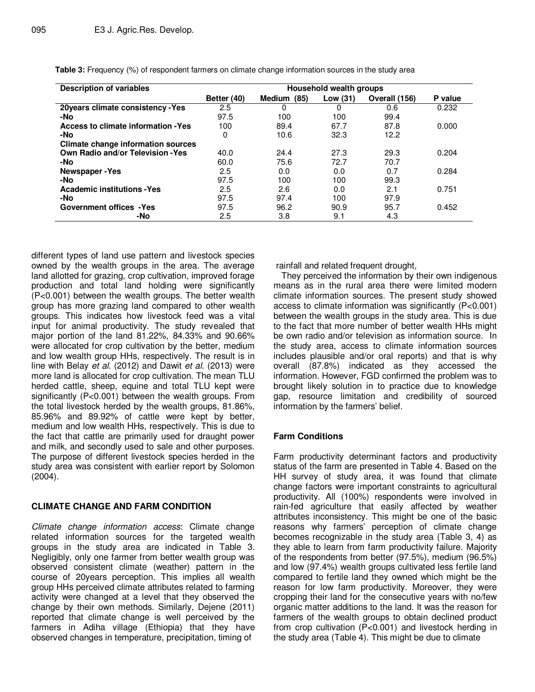| <b>Description of variables</b>     | Household wealth groups |             |            |               |         |  |  |
|-------------------------------------|-------------------------|-------------|------------|---------------|---------|--|--|
|                                     | Better (40)             | Medium (85) | Low $(31)$ | Overall (156) | P value |  |  |
| 20 years climate consistency - Yes  | 2.5                     | 0           | 0          | 0.6           | 0.232   |  |  |
| -No                                 | 97.5                    | 100         | 100        | 99.4          |         |  |  |
| Access to climate information - Yes | 100                     | 89.4        | 67.7       | 87.8          | 0.000   |  |  |
| -No                                 | 0                       | 10.6        | 32.3       | 12.2          |         |  |  |
| Climate change information sources  |                         |             |            |               |         |  |  |
| Own Radio and/or Television - Yes   | 40.0                    | 24.4        | 27.3       | 29.3          | 0.204   |  |  |
| -No                                 | 60.0                    | 75.6        | 72.7       | 70.7          |         |  |  |
| <b>Newspaper-Yes</b>                | 2.5                     | 0.0         | 0.0        | 0.7           | 0.284   |  |  |
| -No                                 | 97.5                    | 100         | 100        | 99.3          |         |  |  |
| <b>Academic institutions - Yes</b>  | 2.5                     | 2.6         | 0.0        | 2.1           | 0.751   |  |  |
| -No                                 | 97.5                    | 97.4        | 100        | 97.9          |         |  |  |
| <b>Government offices - Yes</b>     | 97.5                    | 96.2        | 90.9       | 95.7          | 0.452   |  |  |
| -No                                 | 2.5                     | 3.8         | 9.1        | 4.3           |         |  |  |

**Table 3:** Frequency (%) of respondent farmers on climate change information sources in the study area

different types of land use pattern and livestock species owned by the wealth groups in the area. The average land allotted for grazing, crop cultivation, improved forage production and total land holding were significantly (P<0.001) between the wealth groups. The better wealth group has more grazing land compared to other wealth groups. This indicates how livestock feed was a vital input for animal productivity. The study revealed that major portion of the land 81.22%, 84.33% and 90.66% were allocated for crop cultivation by the better, medium and low wealth group HHs, respectively. The result is in line with Belay et al. (2012) and Dawit et al. (2013) were more land is allocated for crop cultivation. The mean TLU herded cattle, sheep, equine and total TLU kept were significantly (P<0.001) between the wealth groups. From the total livestock herded by the wealth groups, 81.86%, 85.96% and 89.92% of cattle were kept by better, medium and low wealth HHs, respectively. This is due to the fact that cattle are primarily used for draught power and milk, and secondly used to sale and other purposes. The purpose of different livestock species herded in the study area was consistent with earlier report by Solomon (2004).

## **CLIMATE CHANGE AND FARM CONDITION**

Climate change information access: Climate change related information sources for the targeted wealth groups in the study area are indicated in Table 3. Negligibly, only one farmer from better wealth group was observed consistent climate (weather) pattern in the course of 20years perception. This implies all wealth group HHs perceived climate attributes related to farming activity were changed at a level that they observed the change by their own methods. Similarly, Dejene (2011) reported that climate change is well perceived by the farmers in Adiha village (Ethiopia) that they have observed changes in temperature, precipitation, timing of

rainfall and related frequent drought,

They perceived the information by their own indigenous means as in the rural area there were limited modern climate information sources. The present study showed access to climate information was significantly (P<0.001) between the wealth groups in the study area. This is due to the fact that more number of better wealth HHs might be own radio and/or television as information source. In the study area, access to climate information sources includes plausible and/or oral reports) and that is why overall (87.8%) indicated as they accessed the information. However, FGD confirmed the problem was to brought likely solution in to practice due to knowledge gap, resource limitation and credibility of sourced information by the farmers' belief.

## **Farm Conditions**

Farm productivity determinant factors and productivity status of the farm are presented in Table 4. Based on the HH survey of study area, it was found that climate change factors were important constraints to agricultural productivity. All (100%) respondents were involved in rain-fed agriculture that easily affected by weather attributes inconsistency. This might be one of the basic reasons why farmers' perception of climate change becomes recognizable in the study area (Table 3, 4) as they able to learn from farm productivity failure. Majority of the respondents from better (97.5%), medium (96.5%) and low (97.4%) wealth groups cultivated less fertile land compared to fertile land they owned which might be the reason for low farm productivity. Moreover, they were cropping their land for the consecutive years with no/few organic matter additions to the land. It was the reason for farmers of the wealth groups to obtain declined product from crop cultivation (P<0.001) and livestock herding in the study area (Table 4). This might be due to climate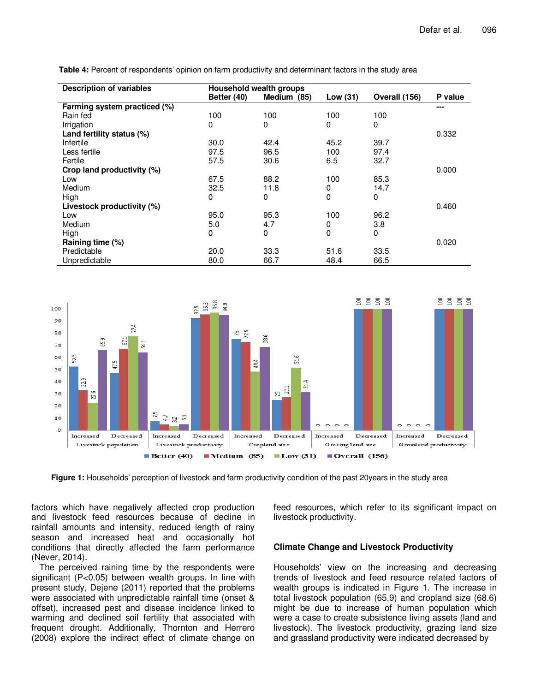**Table 4:** Percent of respondents' opinion on farm productivity and determinant factors in the study area

| <b>Description of variables</b> | Household wealth groups |             |            |               |         |
|---------------------------------|-------------------------|-------------|------------|---------------|---------|
|                                 | Better (40)             | Medium (85) | Low $(31)$ | Overall (156) | P value |
| Farming system practiced (%)    |                         |             |            |               | ---     |
| Rain fed                        | 100                     | 100         | 100        | 100           |         |
| Irrigation                      | 0                       | 0           | 0          | 0             |         |
| Land fertility status (%)       |                         |             |            |               | 0.332   |
| Infertile                       | 30.0                    | 42.4        | 45.2       | 39.7          |         |
| Less fertile                    | 97.5                    | 96.5        | 100        | 97.4          |         |
| Fertile                         | 57.5                    | 30.6        | 6.5        | 32.7          |         |
| Crop land productivity (%)      |                         |             |            |               | 0.000   |
| Low                             | 67.5                    | 88.2        | 100        | 85.3          |         |
| Medium                          | 32.5                    | 11.8        | 0          | 14.7          |         |
| High                            | 0                       | 0           | 0          | 0             |         |
| Livestock productivity (%)      |                         |             |            |               | 0.460   |
| Low                             | 95.0                    | 95.3        | 100        | 96.2          |         |
| Medium                          | 5.0                     | 4.7         | 0          | 3.8           |         |
| High                            | 0                       | 0           | 0          | 0             |         |
| Raining time (%)                |                         |             |            |               | 0.020   |
| Predictable                     | 20.0                    | 33.3        | 51.6       | 33.5          |         |
| Unpredictable                   | 80.0                    | 66.7        | 48.4       | 66.5          |         |



**Figure 1:** Households' perception of livestock and farm productivity condition of the past 20years in the study area

factors which have negatively affected crop production and livestock feed resources because of decline in rainfall amounts and intensity, reduced length of rainy season and increased heat and occasionally hot conditions that directly affected the farm performance (Never, 2014).

The perceived raining time by the respondents were significant (P<0.05) between wealth groups. In line with present study, Dejene (2011) reported that the problems were associated with unpredictable rainfall time (onset & offset), increased pest and disease incidence linked to warming and declined soil fertility that associated with frequent drought. Additionally, Thornton and Herrero (2008) explore the indirect effect of climate change on

feed resources, which refer to its significant impact on livestock productivity.

#### **Climate Change and Livestock Productivity**

Households' view on the increasing and decreasing trends of livestock and feed resource related factors of wealth groups is indicated in Figure 1. The increase in total livestock population (65.9) and cropland size (68.6) might be due to increase of human population which were a case to create subsistence living assets (land and livestock). The livestock productivity, grazing land size and grassland productivity were indicated decreased by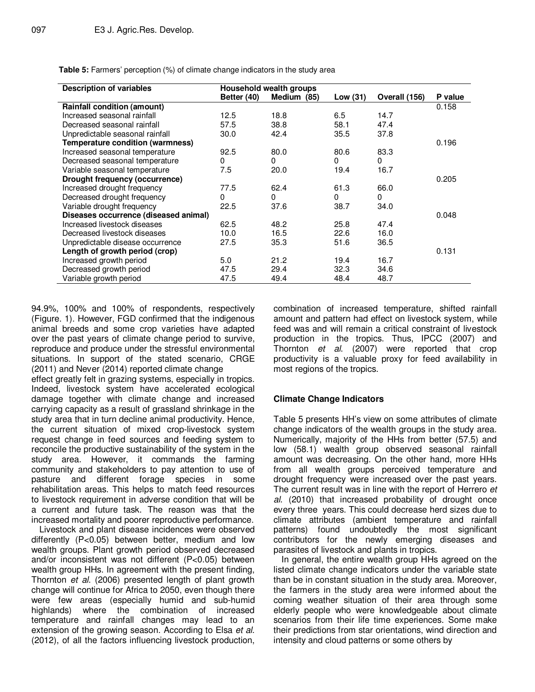**Table 5:** Farmers' perception (%) of climate change indicators in the study area

| <b>Description of variables</b>         | Household wealth groups |             |          |               |         |
|-----------------------------------------|-------------------------|-------------|----------|---------------|---------|
|                                         | Better (40)             | Medium (85) | Low (31) | Overall (156) | P value |
| <b>Rainfall condition (amount)</b>      |                         |             |          |               | 0.158   |
| Increased seasonal rainfall             | 12.5                    | 18.8        | 6.5      | 14.7          |         |
| Decreased seasonal rainfall             | 57.5                    | 38.8        | 58.1     | 47.4          |         |
| Unpredictable seasonal rainfall         | 30.0                    | 42.4        | 35.5     | 37.8          |         |
| <b>Temperature condition (warmness)</b> |                         |             |          |               | 0.196   |
| Increased seasonal temperature          | 92.5                    | 80.0        | 80.6     | 83.3          |         |
| Decreased seasonal temperature          | 0                       | 0           | $\Omega$ | $\Omega$      |         |
| Variable seasonal temperature           | 7.5                     | 20.0        | 19.4     | 16.7          |         |
| Drought frequency (occurrence)          |                         |             |          |               | 0.205   |
| Increased drought frequency             | 77.5                    | 62.4        | 61.3     | 66.0          |         |
| Decreased drought frequency             | 0                       | 0           | $\Omega$ | 0             |         |
| Variable drought frequency              | 22.5                    | 37.6        | 38.7     | 34.0          |         |
| Diseases occurrence (diseased animal)   |                         |             |          |               | 0.048   |
| Increased livestock diseases            | 62.5                    | 48.2        | 25.8     | 47.4          |         |
| Decreased livestock diseases            | 10.0                    | 16.5        | 22.6     | 16.0          |         |
| Unpredictable disease occurrence        | 27.5                    | 35.3        | 51.6     | 36.5          |         |
| Length of growth period (crop)          |                         |             |          |               | 0.131   |
| Increased growth period                 | 5.0                     | 21.2        | 19.4     | 16.7          |         |
| Decreased growth period                 | 47.5                    | 29.4        | 32.3     | 34.6          |         |
| Variable growth period                  | 47.5                    | 49.4        | 48.4     | 48.7          |         |

94.9%, 100% and 100% of respondents, respectively (Figure. 1). However, FGD confirmed that the indigenous animal breeds and some crop varieties have adapted over the past years of climate change period to survive, reproduce and produce under the stressful environmental situations. In support of the stated scenario, CRGE (2011) and Never (2014) reported climate change

effect greatly felt in grazing systems, especially in tropics. Indeed, livestock system have accelerated ecological damage together with climate change and increased carrying capacity as a result of grassland shrinkage in the study area that in turn decline animal productivity. Hence, the current situation of mixed crop-livestock system request change in feed sources and feeding system to reconcile the productive sustainability of the system in the study area. However, it commands the farming community and stakeholders to pay attention to use of pasture and different forage species in some rehabilitation areas. This helps to match feed resources to livestock requirement in adverse condition that will be a current and future task. The reason was that the increased mortality and poorer reproductive performance.

Livestock and plant disease incidences were observed differently (P<0.05) between better, medium and low wealth groups. Plant growth period observed decreased and/or inconsistent was not different (P<0.05) between wealth group HHs. In agreement with the present finding, Thornton et al. (2006) presented length of plant growth change will continue for Africa to 2050, even though there were few areas (especially humid and sub-humid highlands) where the combination of increased temperature and rainfall changes may lead to an extension of the growing season. According to Elsa et al. (2012), of all the factors influencing livestock production, combination of increased temperature, shifted rainfall amount and pattern had effect on livestock system, while feed was and will remain a critical constraint of livestock production in the tropics. Thus, IPCC (2007) and Thornton et al. (2007) were reported that crop productivity is a valuable proxy for feed availability in most regions of the tropics.

## **Climate Change Indicators**

Table 5 presents HH's view on some attributes of climate change indicators of the wealth groups in the study area. Numerically, majority of the HHs from better (57.5) and low (58.1) wealth group observed seasonal rainfall amount was decreasing. On the other hand, more HHs from all wealth groups perceived temperature and drought frequency were increased over the past years. The current result was in line with the report of Herrero et al. (2010) that increased probability of drought once every three years. This could decrease herd sizes due to climate attributes (ambient temperature and rainfall patterns) found undoubtedly the most significant contributors for the newly emerging diseases and parasites of livestock and plants in tropics.

In general, the entire wealth group HHs agreed on the listed climate change indicators under the variable state than be in constant situation in the study area. Moreover, the farmers in the study area were informed about the coming weather situation of their area through some elderly people who were knowledgeable about climate scenarios from their life time experiences. Some make their predictions from star orientations, wind direction and intensity and cloud patterns or some others by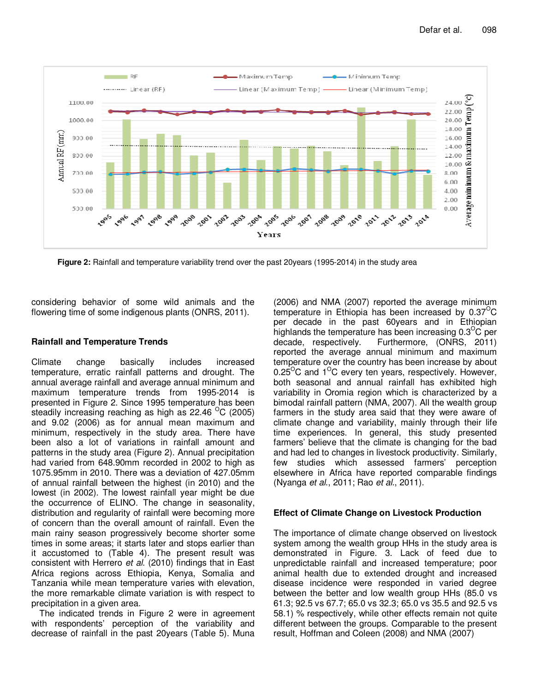

**Figure 2:** Rainfall and temperature variability trend over the past 20years (1995-2014) in the study area

considering behavior of some wild animals and the flowering time of some indigenous plants (ONRS, 2011).

## **Rainfall and Temperature Trends**

Climate change basically includes increased temperature, erratic rainfall patterns and drought. The annual average rainfall and average annual minimum and maximum temperature trends from 1995-2014 is presented in Figure 2. Since 1995 temperature has been steadily increasing reaching as high as  $22.46\,^{\circ}$ C (2005) and 9.02 (2006) as for annual mean maximum and minimum, respectively in the study area. There have been also a lot of variations in rainfall amount and patterns in the study area (Figure 2). Annual precipitation had varied from 648.90mm recorded in 2002 to high as 1075.95mm in 2010. There was a deviation of 427.05mm of annual rainfall between the highest (in 2010) and the lowest (in 2002). The lowest rainfall year might be due the occurrence of ELINO. The change in seasonality, distribution and regularity of rainfall were becoming more of concern than the overall amount of rainfall. Even the main rainy season progressively become shorter some times in some areas; it starts later and stops earlier than it accustomed to (Table 4). The present result was consistent with Herrero et al. (2010) findings that in East Africa regions across Ethiopia, Kenya, Somalia and Tanzania while mean temperature varies with elevation, the more remarkable climate variation is with respect to precipitation in a given area.

The indicated trends in Figure 2 were in agreement with respondents' perception of the variability and decrease of rainfall in the past 20years (Table 5). Muna (2006) and NMA (2007) reported the average minimum temperature in Ethiopia has been increased by  $0.37^{\circ}$ C per decade in the past 60years and in Ethiopian highlands the temperature has been increasing  $0.3^{\circ}$ C per decade, respectively. Furthermore, (ONRS, 2011) reported the average annual minimum and maximum temperature over the country has been increase by about 0.25 $\mathrm{^{\circ}C}$  and 1 $\mathrm{^{\circ}C}$  every ten years, respectively. However, both seasonal and annual rainfall has exhibited high variability in Oromia region which is characterized by a bimodal rainfall pattern (NMA, 2007). All the wealth group farmers in the study area said that they were aware of climate change and variability, mainly through their life time experiences. In general, this study presented farmers' believe that the climate is changing for the bad and had led to changes in livestock productivity. Similarly, few studies which assessed farmers' perception elsewhere in Africa have reported comparable findings (Nyanga et al., 2011; Rao et al., 2011).

## **Effect of Climate Change on Livestock Production**

The importance of climate change observed on livestock system among the wealth group HHs in the study area is demonstrated in Figure. 3. Lack of feed due to unpredictable rainfall and increased temperature; poor animal health due to extended drought and increased disease incidence were responded in varied degree between the better and low wealth group HHs (85.0 vs 61.3; 92.5 vs 67.7; 65.0 vs 32.3; 65.0 vs 35.5 and 92.5 vs 58.1) % respectively, while other effects remain not quite different between the groups. Comparable to the present result, Hoffman and Coleen (2008) and NMA (2007)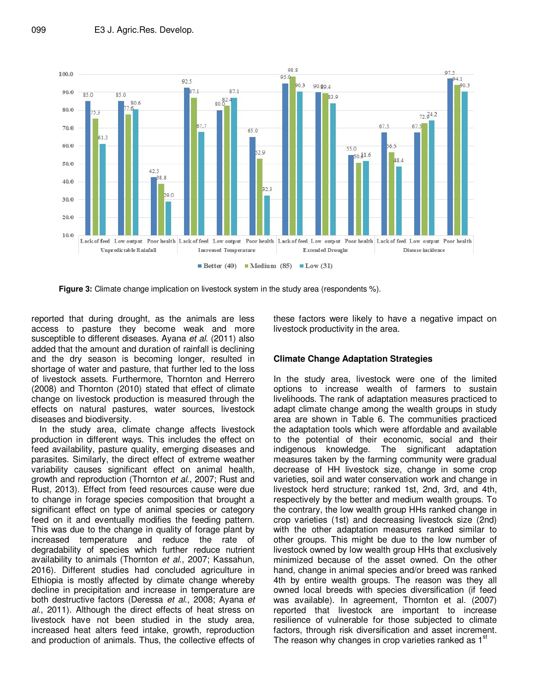

**Figure 3:** Climate change implication on livestock system in the study area (respondents %).

reported that during drought, as the animals are less access to pasture they become weak and more susceptible to different diseases. Ayana *et al.* (2011) also added that the amount and duration of rainfall is declining and the dry season is becoming longer, resulted in shortage of water and pasture, that further led to the loss of livestock assets. Furthermore, Thornton and Herrero (2008) and Thornton (2010) stated that effect of climate change on livestock production is measured through the effects on natural pastures, water sources, livestock diseases and biodiversity.

In the study area, climate change affects livestock production in different ways. This includes the effect on feed availability, pasture quality, emerging diseases and parasites. Similarly, the direct effect of extreme weather variability causes significant effect on animal health, growth and reproduction (Thornton et al., 2007; Rust and Rust, 2013). Effect from feed resources cause were due to change in forage species composition that brought a significant effect on type of animal species or category feed on it and eventually modifies the feeding pattern. This was due to the change in quality of forage plant by increased temperature and reduce the rate of degradability of species which further reduce nutrient availability to animals (Thornton et al., 2007; Kassahun, 2016). Different studies had concluded agriculture in Ethiopia is mostly affected by climate change whereby decline in precipitation and increase in temperature are both destructive factors (Deressa et al., 2008; Ayana et al., 2011). Although the direct effects of heat stress on livestock have not been studied in the study area, increased heat alters feed intake, growth, reproduction and production of animals. Thus, the collective effects of

these factors were likely to have a negative impact on livestock productivity in the area.

## **Climate Change Adaptation Strategies**

In the study area, livestock were one of the limited options to increase wealth of farmers to sustain livelihoods. The rank of adaptation measures practiced to adapt climate change among the wealth groups in study area are shown in Table 6. The communities practiced the adaptation tools which were affordable and available to the potential of their economic, social and their indigenous knowledge. The significant adaptation measures taken by the farming community were gradual decrease of HH livestock size, change in some crop varieties, soil and water conservation work and change in livestock herd structure; ranked 1st, 2nd, 3rd, and 4th, respectively by the better and medium wealth groups. To the contrary, the low wealth group HHs ranked change in crop varieties (1st) and decreasing livestock size (2nd) with the other adaptation measures ranked similar to other groups. This might be due to the low number of livestock owned by low wealth group HHs that exclusively minimized because of the asset owned. On the other hand, change in animal species and/or breed was ranked 4th by entire wealth groups. The reason was they all owned local breeds with species diversification (if feed was available). In agreement, Thornton et al. (2007) reported that livestock are important to increase resilience of vulnerable for those subjected to climate factors, through risk diversification and asset increment. The reason why changes in crop varieties ranked as 1<sup>st</sup>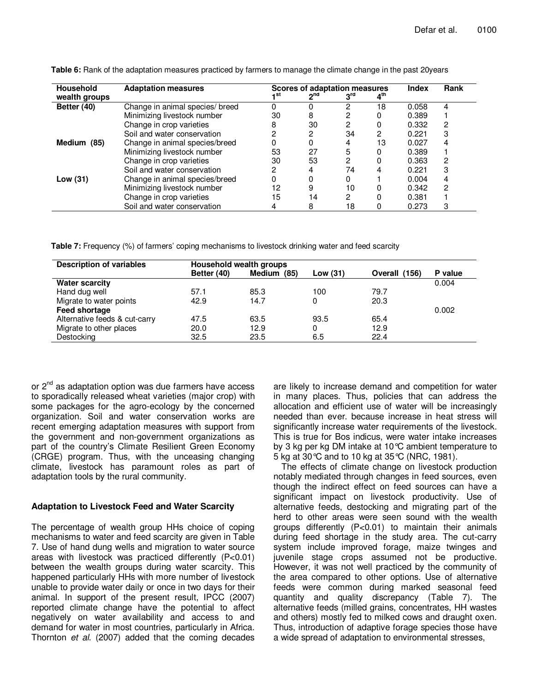| <b>Household</b><br>wealth groups | <b>Adaptation measures</b>      | ⊿st | <b>Scores of adaptation measures</b><br>ገ <sup>nd</sup> | 3 <sup>rd</sup> | $4^{\text{tn}}$ | <b>Index</b> | Rank |
|-----------------------------------|---------------------------------|-----|---------------------------------------------------------|-----------------|-----------------|--------------|------|
| Better (40)                       | Change in animal species/ breed |     |                                                         | 2               | 18              | 0.058        | 4    |
|                                   | Minimizing livestock number     | 30  | 8                                                       | 2               |                 | 0.389        |      |
|                                   | Change in crop varieties        | 8   | 30                                                      | 2               |                 | 0.332        | 2    |
|                                   | Soil and water conservation     |     | 2                                                       | 34              | 2               | 0.221        | 3    |
| Medium (85)                       | Change in animal species/breed  |     |                                                         | 4               | 13              | 0.027        | 4    |
|                                   | Minimizing livestock number     | 53  | 27                                                      | 5               |                 | 0.389        |      |
|                                   | Change in crop varieties        | 30  | 53                                                      | 2               |                 | 0.363        | 2    |
|                                   | Soil and water conservation     |     | 4                                                       | 74              | 4               | 0.221        | 3    |
| Low (31)                          | Change in animal species/breed  |     |                                                         | 0               |                 | 0.004        | 4    |
|                                   | Minimizing livestock number     | 12  | 9                                                       | 10              |                 | 0.342        | 2    |
|                                   | Change in crop varieties        | 15  | 14                                                      | 2               |                 | 0.381        |      |
|                                   | Soil and water conservation     | 4   | 8                                                       | 18              |                 | 0.273        | 3    |

**Table 6:** Rank of the adaptation measures practiced by farmers to manage the climate change in the past 20years

**Table 7:** Frequency (%) of farmers' coping mechanisms to livestock drinking water and feed scarcity

| <b>Description of variables</b> | Household wealth groups |             |            |               |         |  |  |
|---------------------------------|-------------------------|-------------|------------|---------------|---------|--|--|
|                                 | Better (40)             | Medium (85) | Low $(31)$ | Overall (156) | P value |  |  |
| <b>Water scarcity</b>           |                         |             |            |               | 0.004   |  |  |
| Hand dug well                   | 57.1                    | 85.3        | 100        | 79.7          |         |  |  |
| Migrate to water points         | 42.9                    | 14.7        | 0          | 20.3          |         |  |  |
| Feed shortage                   |                         |             |            |               | 0.002   |  |  |
| Alternative feeds & cut-carry   | 47.5                    | 63.5        | 93.5       | 65.4          |         |  |  |
| Migrate to other places         | 20.0                    | 12.9        | 0          | 12.9          |         |  |  |
| Destocking                      | 32.5                    | 23.5        | 6.5        | 22.4          |         |  |  |

or  $2<sup>nd</sup>$  as adaptation option was due farmers have access to sporadically released wheat varieties (major crop) with some packages for the agro-ecology by the concerned organization. Soil and water conservation works are recent emerging adaptation measures with support from the government and non-government organizations as part of the country's Climate Resilient Green Economy (CRGE) program. Thus, with the unceasing changing climate, livestock has paramount roles as part of adaptation tools by the rural community.

## **Adaptation to Livestock Feed and Water Scarcity**

The percentage of wealth group HHs choice of coping mechanisms to water and feed scarcity are given in Table 7. Use of hand dung wells and migration to water source areas with livestock was practiced differently (P<0.01) between the wealth groups during water scarcity. This happened particularly HHs with more number of livestock unable to provide water daily or once in two days for their animal. In support of the present result, IPCC (2007) reported climate change have the potential to affect negatively on water availability and access to and demand for water in most countries, particularly in Africa. Thornton et al. (2007) added that the coming decades

are likely to increase demand and competition for water in many places. Thus, policies that can address the allocation and efficient use of water will be increasingly needed than ever. because increase in heat stress will significantly increase water requirements of the livestock. This is true for Bos indicus, were water intake increases by 3 kg per kg DM intake at 10°C ambient temperature to 5 kg at 30°C and to 10 kg at 35°C (NRC, 1981).

The effects of climate change on livestock production notably mediated through changes in feed sources, even though the indirect effect on feed sources can have a significant impact on livestock productivity. Use of alternative feeds, destocking and migrating part of the herd to other areas were seen sound with the wealth groups differently (P<0.01) to maintain their animals during feed shortage in the study area. The cut-carry system include improved forage, maize twinges and juvenile stage crops assumed not be productive. However, it was not well practiced by the community of the area compared to other options. Use of alternative feeds were common during marked seasonal feed quantity and quality discrepancy (Table 7). The alternative feeds (milled grains, concentrates, HH wastes and others) mostly fed to milked cows and draught oxen. Thus, introduction of adaptive forage species those have a wide spread of adaptation to environmental stresses,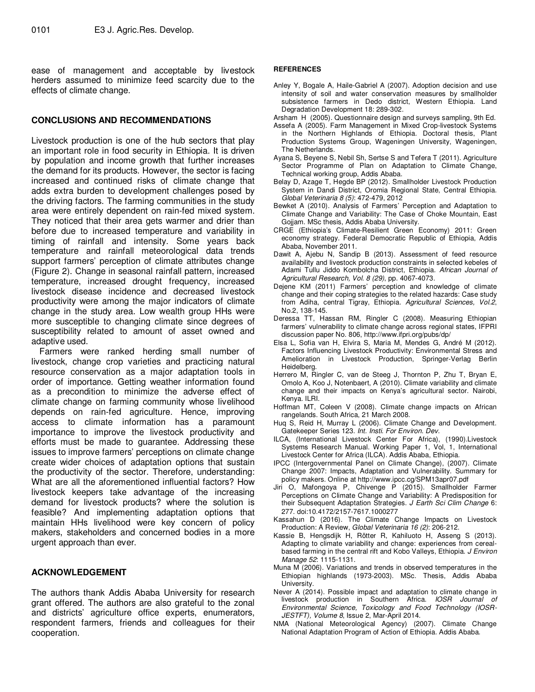ease of management and acceptable by livestock herders assumed to minimize feed scarcity due to the effects of climate change.

### **CONCLUSIONS AND RECOMMENDATIONS**

Livestock production is one of the hub sectors that play an important role in food security in Ethiopia. It is driven by population and income growth that further increases the demand for its products. However, the sector is facing increased and continued risks of climate change that adds extra burden to development challenges posed by the driving factors. The farming communities in the study area were entirely dependent on rain-fed mixed system. They noticed that their area gets warmer and drier than before due to increased temperature and variability in timing of rainfall and intensity. Some years back temperature and rainfall meteorological data trends support farmers' perception of climate attributes change (Figure 2). Change in seasonal rainfall pattern, increased temperature, increased drought frequency, increased livestock disease incidence and decreased livestock productivity were among the major indicators of climate change in the study area. Low wealth group HHs were more susceptible to changing climate since degrees of susceptibility related to amount of asset owned and adaptive used.

Farmers were ranked herding small number of livestock, change crop varieties and practicing natural resource conservation as a major adaptation tools in order of importance. Getting weather information found as a precondition to minimize the adverse effect of climate change on farming community whose livelihood depends on rain-fed agriculture. Hence, improving access to climate information has a paramount importance to improve the livestock productivity and efforts must be made to guarantee. Addressing these issues to improve farmers' perceptions on climate change create wider choices of adaptation options that sustain the productivity of the sector. Therefore, understanding: What are all the aforementioned influential factors? How livestock keepers take advantage of the increasing demand for livestock products? where the solution is feasible? And implementing adaptation options that maintain HHs livelihood were key concern of policy makers, stakeholders and concerned bodies in a more urgent approach than ever.

#### **ACKNOWLEDGEMENT**

The authors thank Addis Ababa University for research grant offered. The authors are also grateful to the zonal and districts' agriculture office experts, enumerators, respondent farmers, friends and colleagues for their cooperation.

#### **REFERENCES**

- Anley Y, Bogale A, Haile-Gabriel A (2007). Adoption decision and use intensity of soil and water conservation measures by smallholder subsistence farmers in Dedo district, Western Ethiopia. Land Degradation Development 18: 289-302.
- Arsham H (2005). Questionnaire design and surveys sampling, 9th Ed.
- Assefa A (2005). Farm Management in Mixed Crop-livestock Systems in the Northern Highlands of Ethiopia. Doctoral thesis, Plant Production Systems Group, Wageningen University, Wageningen, The Netherlands.
- Ayana S, Beyene S, Nebil Sh, Sertse S and Tefera T (2011). Agriculture Sector Programme of Plan on Adaptation to Climate Change, Technical working group, Addis Ababa.
- Belay D, Azage T, Hegde BP (2012). Smallholder Livestock Production System in Dandi District, Oromia Regional State, Central Ethiopia. Global Veterinaria 8 (5): 472-479, 2012
- Bewket A (2010). Analysis of Farmers' Perception and Adaptation to Climate Change and Variability: The Case of Choke Mountain, East Gojjam. MSc thesis, Addis Ababa University.
- CRGE (Ethiopia's Climate-Resilient Green Economy) 2011: Green economy strategy. Federal Democratic Republic of Ethiopia, Addis Ababa, November 2011.
- Dawit A, Ajebu N, Sandip B (2013). Assessment of feed resource availability and livestock production constraints in selected kebeles of Adami Tullu Jiddo Kombolcha District, Ethiopia. African Journal of Agricultural Research, Vol. 8 (29), pp. 4067-4073.
- Dejene KM (2011) Farmers' perception and knowledge of climate change and their coping strategies to the related hazards: Case study from Adiha, central Tigray, Ethiopia. Agricultural Sciences, Vol.2, No.2, 138-145.
- Deressa TT, Hassan RM, Ringler C (2008). Measuring Ethiopian farmers' vulnerability to climate change across regional states, IFPRI discussion paper No. 806, http://www.ifpri.org/pubs/dp/
- Elsa L, Sofia van H, Elvira S, Maria M, Mendes G, André M (2012). Factors Influencing Livestock Productivity: Environmental Stress and Amelioration in Livestock Production, Springer-Verlag Berlin Heidelberg.
- Herrero M, Ringler C, van de Steeg J, Thornton P, Zhu T, Bryan E, Omolo A, Koo J, Notenbaert, A (2010). Climate variability and climate change and their impacts on Kenya's agricultural sector. Nairobi, Kenya. ILRI.
- Hoffman MT, Coleen V (2008). Climate change impacts on African rangelands. South Africa, 21 March 2008.
- Huq S, Reid H, Murray L (2006). Climate Change and Development. Gatekeeper Series 123. Int. Insti. For Environ. Dev.
- ILCA, (International Livestock Center For Africa), (1990).Livestock Systems Research Manual. Working Paper 1, Vol, 1, International Livestock Center for Africa (ILCA). Addis Ababa, Ethiopia.
- IPCC (Intergovernmental Panel on Climate Change), (2007). Climate Change 2007: Impacts, Adaptation and Vulnerability. Summary for policy makers. Online at http://www.ipcc.cg/SPM13apr07.pdf
- Jiri O, Mafongoya P, Chivenge P (2015). Smallholder Farmer Perceptions on Climate Change and Variability: A Predisposition for their Subsequent Adaptation Strategies. J Earth Sci Clim Change 6: 277. doi:10.4172/2157-7617.1000277
- Kassahun D (2016). The Climate Change Impacts on Livestock Production: A Review, Global Veterinaria 16 (2): 206-212.
- Kassie B, Hengsdijk H, Rötter R, Kahiluoto H, Asseng S (2013). Adapting to climate variability and change: experiences from cerealbased farming in the central rift and Kobo Valleys, Ethiopia. J Environ Manage 52: 1115-1131.
- Muna M (2006). Variations and trends in observed temperatures in the Ethiopian highlands (1973-2003). MSc. Thesis, Addis Ababa University.
- Never A (2014). Possible impact and adaptation to climate change in livestock production in Southern Africa. IOSR Journal of Environmental Science, Toxicology and Food Technology (IOSR-JESTFT), Volume 8, Issue 2, Mar-April 2014.
- NMA (National Meteorological Agency) (2007). Climate Change National Adaptation Program of Action of Ethiopia. Addis Ababa.